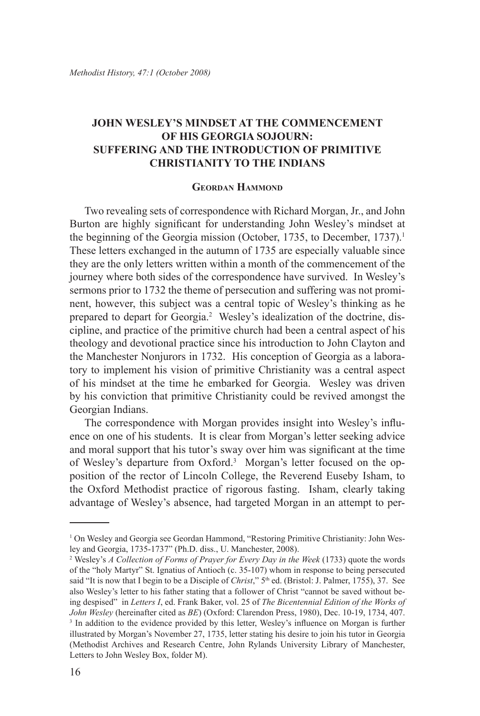## **John Wesley's Mindset at the Commencement of his Georgia Sojourn: Suffering and the Introduction of Primitive Christianity to the Indians**

## **Geordan Hammond**

Two revealing sets of correspondence with Richard Morgan, Jr., and John Burton are highly significant for understanding John Wesley's mindset at the beginning of the Georgia mission (October, 1735, to December, 1737).<sup>1</sup> These letters exchanged in the autumn of 1735 are especially valuable since they are the only letters written within a month of the commencement of the journey where both sides of the correspondence have survived. In Wesley's sermons prior to 1732 the theme of persecution and suffering was not prominent, however, this subject was a central topic of Wesley's thinking as he prepared to depart for Georgia.<sup>2</sup> Wesley's idealization of the doctrine, discipline, and practice of the primitive church had been a central aspect of his theology and devotional practice since his introduction to John Clayton and the Manchester Nonjurors in 1732. His conception of Georgia as a laboratory to implement his vision of primitive Christianity was a central aspect of his mindset at the time he embarked for Georgia. Wesley was driven by his conviction that primitive Christianity could be revived amongst the Georgian Indians.

The correspondence with Morgan provides insight into Wesley's influence on one of his students. It is clear from Morgan's letter seeking advice and moral support that his tutor's sway over him was significant at the time of Wesley's departure from Oxford.<sup>3</sup> Morgan's letter focused on the opposition of the rector of Lincoln College, the Reverend Euseby Isham, to the Oxford Methodist practice of rigorous fasting. Isham, clearly taking advantage of Wesley's absence, had targeted Morgan in an attempt to per-

<sup>&</sup>lt;sup>1</sup> On Wesley and Georgia see Geordan Hammond, "Restoring Primitive Christianity: John Wesley and Georgia, 1735-1737" (Ph.D. diss., U. Manchester, 2008).

<sup>2</sup> Wesley's *A Collection of Forms of Prayer for Every Day in the Week* (1733) quote the words of the "holy Martyr" St. Ignatius of Antioch (c. 35-107) whom in response to being persecuted said "It is now that I begin to be a Disciple of *Christ*," 5<sup>th</sup> ed. (Bristol: J. Palmer, 1755), 37. See also Wesley's letter to his father stating that a follower of Christ "cannot be saved without being despised" in *Letters I*, ed. Frank Baker, vol. 25 of *The Bicentennial Edition of the Works of John Wesley* (hereinafter cited as *BE*) (Oxford: Clarendon Press, 1980), Dec. 10-19, 1734, 407. <sup>3</sup> In addition to the evidence provided by this letter, Wesley's influence on Morgan is further illustrated by Morgan's November 27, 1735, letter stating his desire to join his tutor in Georgia (Methodist Archives and Research Centre, John Rylands University Library of Manchester, Letters to John Wesley Box, folder M).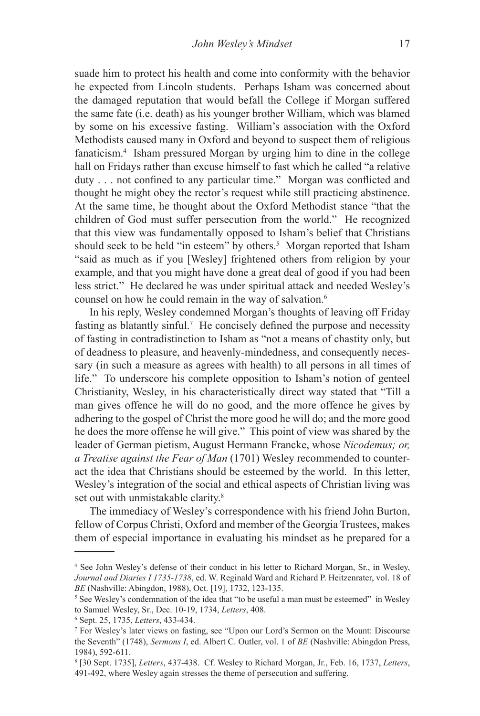suade him to protect his health and come into conformity with the behavior he expected from Lincoln students. Perhaps Isham was concerned about the damaged reputation that would befall the College if Morgan suffered the same fate (i.e. death) as his younger brother William, which was blamed by some on his excessive fasting. William's association with the Oxford Methodists caused many in Oxford and beyond to suspect them of religious fanaticism.4 Isham pressured Morgan by urging him to dine in the college hall on Fridays rather than excuse himself to fast which he called "a relative duty . . . not confined to any particular time." Morgan was conflicted and thought he might obey the rector's request while still practicing abstinence. At the same time, he thought about the Oxford Methodist stance "that the children of God must suffer persecution from the world." He recognized that this view was fundamentally opposed to Isham's belief that Christians should seek to be held "in esteem" by others.<sup>5</sup> Morgan reported that Isham "said as much as if you [Wesley] frightened others from religion by your example, and that you might have done a great deal of good if you had been less strict." He declared he was under spiritual attack and needed Wesley's counsel on how he could remain in the way of salvation.<sup>6</sup>

In his reply, Wesley condemned Morgan's thoughts of leaving off Friday fasting as blatantly sinful.<sup>7</sup> He concisely defined the purpose and necessity of fasting in contradistinction to Isham as "not a means of chastity only, but of deadness to pleasure, and heavenly-mindedness, and consequently necessary (in such a measure as agrees with health) to all persons in all times of life." To underscore his complete opposition to Isham's notion of genteel Christianity, Wesley, in his characteristically direct way stated that "Till a man gives offence he will do no good, and the more offence he gives by adhering to the gospel of Christ the more good he will do; and the more good he does the more offense he will give." This point of view was shared by the leader of German pietism, August Hermann Francke, whose *Nicodemus; or, a Treatise against the Fear of Man* (1701) Wesley recommended to counteract the idea that Christians should be esteemed by the world. In this letter, Wesley's integration of the social and ethical aspects of Christian living was set out with unmistakable clarity.<sup>8</sup>

The immediacy of Wesley's correspondence with his friend John Burton, fellow of Corpus Christi, Oxford and member of the Georgia Trustees, makes them of especial importance in evaluating his mindset as he prepared for a

<sup>4</sup> See John Wesley's defense of their conduct in his letter to Richard Morgan, Sr., in Wesley, *Journal and Diaries I 1735-1738*, ed. W. Reginald Ward and Richard P. Heitzenrater, vol. 18 of *BE* (Nashville: Abingdon, 1988), Oct. [19], 1732, 123-135.

<sup>&</sup>lt;sup>5</sup> See Wesley's condemnation of the idea that "to be useful a man must be esteemed" in Wesley to Samuel Wesley, Sr., Dec. 10-19, 1734, *Letters*, 408.

<sup>6</sup> Sept. 25, 1735, *Letters*, 433-434.

<sup>7</sup> For Wesley's later views on fasting, see "Upon our Lord's Sermon on the Mount: Discourse the Seventh" (1748), *Sermons I*, ed. Albert C. Outler, vol. 1 of *BE* (Nashville: Abingdon Press, 1984), 592-611.

<sup>8</sup> [30 Sept. 1735], *Letters*, 437-438. Cf. Wesley to Richard Morgan, Jr., Feb. 16, 1737, *Letters*, 491-492, where Wesley again stresses the theme of persecution and suffering.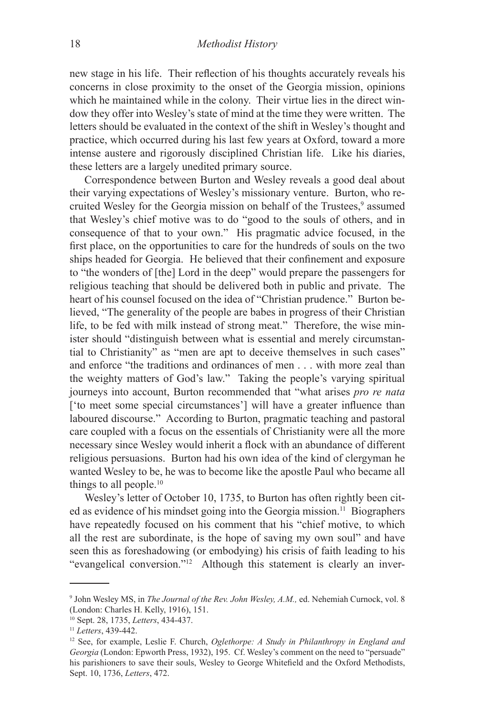new stage in his life. Their reflection of his thoughts accurately reveals his concerns in close proximity to the onset of the Georgia mission, opinions which he maintained while in the colony. Their virtue lies in the direct window they offer into Wesley's state of mind at the time they were written. The letters should be evaluated in the context of the shift in Wesley's thought and practice, which occurred during his last few years at Oxford, toward a more intense austere and rigorously disciplined Christian life. Like his diaries, these letters are a largely unedited primary source.

Correspondence between Burton and Wesley reveals a good deal about their varying expectations of Wesley's missionary venture. Burton, who recruited Wesley for the Georgia mission on behalf of the Trustees,<sup>9</sup> assumed that Wesley's chief motive was to do "good to the souls of others, and in consequence of that to your own." His pragmatic advice focused, in the first place, on the opportunities to care for the hundreds of souls on the two ships headed for Georgia. He believed that their confinement and exposure to "the wonders of [the] Lord in the deep" would prepare the passengers for religious teaching that should be delivered both in public and private. The heart of his counsel focused on the idea of "Christian prudence." Burton believed, "The generality of the people are babes in progress of their Christian life, to be fed with milk instead of strong meat." Therefore, the wise minister should "distinguish between what is essential and merely circumstantial to Christianity" as "men are apt to deceive themselves in such cases" and enforce "the traditions and ordinances of men . . . with more zeal than the weighty matters of God's law." Taking the people's varying spiritual journeys into account, Burton recommended that "what arises *pro re nata* ['to meet some special circumstances'] will have a greater influence than laboured discourse." According to Burton, pragmatic teaching and pastoral care coupled with a focus on the essentials of Christianity were all the more necessary since Wesley would inherit a flock with an abundance of different religious persuasions. Burton had his own idea of the kind of clergyman he wanted Wesley to be, he was to become like the apostle Paul who became all things to all people.10

Wesley's letter of October 10, 1735, to Burton has often rightly been cited as evidence of his mindset going into the Georgia mission.11 Biographers have repeatedly focused on his comment that his "chief motive, to which all the rest are subordinate, is the hope of saving my own soul" and have seen this as foreshadowing (or embodying) his crisis of faith leading to his "evangelical conversion."<sup>12</sup> Although this statement is clearly an inver-

<sup>9</sup> John Wesley MS, in *The Journal of the Rev. John Wesley, A.M.,* ed. Nehemiah Curnock, vol. 8 (London: Charles H. Kelly, 1916), 151.

<sup>10</sup> Sept. 28, 1735, *Letters*, 434-437. 11 *Letters*, 439-442.

<sup>12</sup> See, for example, Leslie F. Church, *Oglethorpe: A Study in Philanthropy in England and Georgia* (London: Epworth Press, 1932), 195. Cf. Wesley's comment on the need to "persuade" his parishioners to save their souls, Wesley to George Whitefield and the Oxford Methodists, Sept. 10, 1736, *Letters*, 472.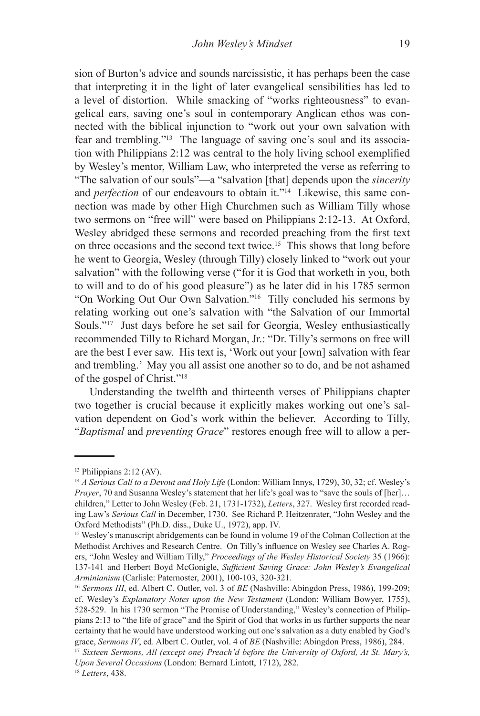sion of Burton's advice and sounds narcissistic, it has perhaps been the case that interpreting it in the light of later evangelical sensibilities has led to a level of distortion. While smacking of "works righteousness" to evangelical ears, saving one's soul in contemporary Anglican ethos was connected with the biblical injunction to "work out your own salvation with fear and trembling."13 The language of saving one's soul and its association with Philippians 2:12 was central to the holy living school exemplified by Wesley's mentor, William Law, who interpreted the verse as referring to "The salvation of our souls"—a "salvation [that] depends upon the *sincerity* and *perfection* of our endeavours to obtain it."<sup>14</sup> Likewise, this same connection was made by other High Churchmen such as William Tilly whose two sermons on "free will" were based on Philippians 2:12-13. At Oxford, Wesley abridged these sermons and recorded preaching from the first text on three occasions and the second text twice.15 This shows that long before he went to Georgia, Wesley (through Tilly) closely linked to "work out your salvation" with the following verse ("for it is God that worketh in you, both to will and to do of his good pleasure") as he later did in his 1785 sermon "On Working Out Our Own Salvation."16 Tilly concluded his sermons by relating working out one's salvation with "the Salvation of our Immortal Souls."<sup>17</sup> Just days before he set sail for Georgia, Wesley enthusiastically recommended Tilly to Richard Morgan, Jr.: "Dr. Tilly's sermons on free will are the best I ever saw. His text is, 'Work out your [own] salvation with fear and trembling.' May you all assist one another so to do, and be not ashamed of the gospel of Christ."18

Understanding the twelfth and thirteenth verses of Philippians chapter two together is crucial because it explicitly makes working out one's salvation dependent on God's work within the believer. According to Tilly, "*Baptismal* and *preventing Grace*" restores enough free will to allow a per-

<sup>&</sup>lt;sup>13</sup> Philippians 2:12 (AV).

<sup>14</sup> *A Serious Call to a Devout and Holy Life* (London: William Innys, 1729), 30, 32; cf. Wesley's *Prayer*, 70 and Susanna Wesley's statement that her life's goal was to "save the souls of [her]… children," Letter to John Wesley (Feb. 21, 1731-1732), *Letters*, 327. Wesley first recorded reading Law's *Serious Call* in December, 1730. See Richard P. Heitzenrater, "John Wesley and the Oxford Methodists" (Ph.D. diss., Duke U., 1972), app. IV.

<sup>&</sup>lt;sup>15</sup> Wesley's manuscript abridgements can be found in volume 19 of the Colman Collection at the Methodist Archives and Research Centre. On Tilly's influence on Wesley see Charles A. Rogers, "John Wesley and William Tilly," *Proceedings of the Wesley Historical Society* 35 (1966): 137-141 and Herbert Boyd McGonigle, *Sufficient Saving Grace: John Wesley's Evangelical Arminianism* (Carlisle: Paternoster, 2001), 100-103, 320-321.

<sup>16</sup> *Sermons III*, ed. Albert C. Outler, vol. 3 of *BE* (Nashville: Abingdon Press, 1986), 199-209; cf. Wesley's *Explanatory Notes upon the New Testament* (London: William Bowyer, 1755), 528-529. In his 1730 sermon "The Promise of Understanding," Wesley's connection of Philippians 2:13 to "the life of grace" and the Spirit of God that works in us further supports the near certainty that he would have understood working out one's salvation as a duty enabled by God's

grace, *Sermons IV*, ed. Albert C. Outler, vol. 4 of *BE* (Nashville: Abingdon Press, 1986), 284. 17 *Sixteen Sermons, All (except one) Preach'd before the University of Oxford, At St. Mary's, Upon Several Occasions* (London: Bernard Lintott, 1712), 282.

<sup>18</sup> *Letters*, 438.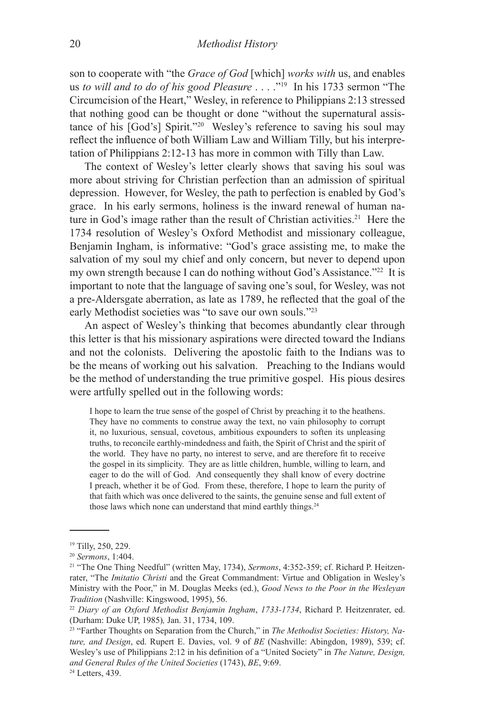son to cooperate with "the *Grace of God* [which] *works with* us, and enables us *to will and to do of his good Pleasure* . . . ."19 In his 1733 sermon "The Circumcision of the Heart," Wesley, in reference to Philippians 2:13 stressed that nothing good can be thought or done "without the supernatural assistance of his [God's] Spirit."20 Wesley's reference to saving his soul may reflect the influence of both William Law and William Tilly, but his interpretation of Philippians 2:12-13 has more in common with Tilly than Law.

The context of Wesley's letter clearly shows that saving his soul was more about striving for Christian perfection than an admission of spiritual depression. However, for Wesley, the path to perfection is enabled by God's grace. In his early sermons, holiness is the inward renewal of human nature in God's image rather than the result of Christian activities.<sup>21</sup> Here the 1734 resolution of Wesley's Oxford Methodist and missionary colleague, Benjamin Ingham, is informative: "God's grace assisting me, to make the salvation of my soul my chief and only concern, but never to depend upon my own strength because I can do nothing without God's Assistance.<sup>"22</sup> It is important to note that the language of saving one's soul, for Wesley, was not a pre-Aldersgate aberration, as late as 1789, he reflected that the goal of the early Methodist societies was "to save our own souls."23

An aspect of Wesley's thinking that becomes abundantly clear through this letter is that his missionary aspirations were directed toward the Indians and not the colonists. Delivering the apostolic faith to the Indians was to be the means of working out his salvation. Preaching to the Indians would be the method of understanding the true primitive gospel. His pious desires were artfully spelled out in the following words:

I hope to learn the true sense of the gospel of Christ by preaching it to the heathens. They have no comments to construe away the text, no vain philosophy to corrupt it, no luxurious, sensual, covetous, ambitious expounders to soften its unpleasing truths, to reconcile earthly-mindedness and faith, the Spirit of Christ and the spirit of the world. They have no party, no interest to serve, and are therefore fit to receive the gospel in its simplicity. They are as little children, humble, willing to learn, and eager to do the will of God. And consequently they shall know of every doctrine I preach, whether it be of God. From these, therefore, I hope to learn the purity of that faith which was once delivered to the saints, the genuine sense and full extent of those laws which none can understand that mind earthly things.<sup>24</sup>

<sup>19</sup> Tilly, 250, 229.

<sup>20</sup> *Sermons*, 1:404. 21 "The One Thing Needful" (written May, 1734), *Sermons*, 4:352-359; cf. Richard P. Heitzenrater, "The *Imitatio Christi* and the Great Commandment: Virtue and Obligation in Wesley's Ministry with the Poor," in M. Douglas Meeks (ed.), *Good News to the Poor in the Wesleyan Tradition* (Nashville: Kingswood, 1995), 56.

<sup>22</sup> *Diary of an Oxford Methodist Benjamin Ingham*, *1733-1734*, Richard P. Heitzenrater, ed. (Durham: Duke UP, 1985)*,* Jan. 31, 1734, 109.

<sup>23 &</sup>quot;Farther Thoughts on Separation from the Church," in *The Methodist Societies: History, Nature, and Design*, ed. Rupert E. Davies, vol. 9 of *BE* (Nashville: Abingdon, 1989), 539; cf. Wesley's use of Philippians 2:12 in his definition of a "United Society" in *The Nature, Design, and General Rules of the United Societies* (1743), *BE*, 9:69. <sup>24</sup> Letters, 439.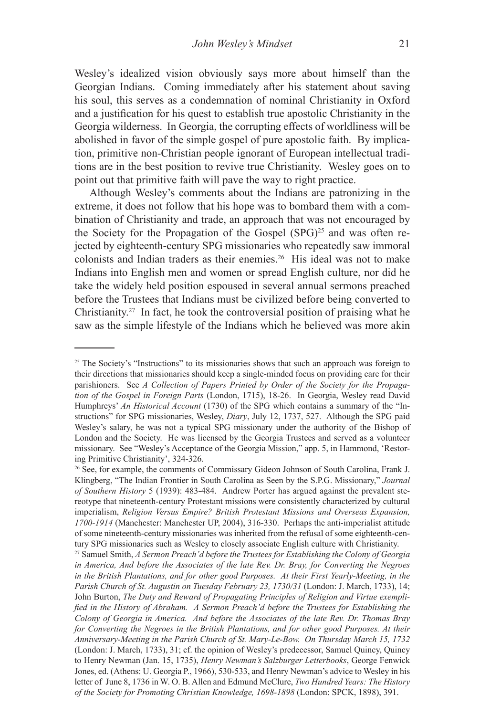Wesley's idealized vision obviously says more about himself than the Georgian Indians. Coming immediately after his statement about saving his soul, this serves as a condemnation of nominal Christianity in Oxford and a justification for his quest to establish true apostolic Christianity in the Georgia wilderness. In Georgia, the corrupting effects of worldliness will be abolished in favor of the simple gospel of pure apostolic faith. By implication, primitive non-Christian people ignorant of European intellectual traditions are in the best position to revive true Christianity. Wesley goes on to point out that primitive faith will pave the way to right practice.

Although Wesley's comments about the Indians are patronizing in the extreme, it does not follow that his hope was to bombard them with a combination of Christianity and trade, an approach that was not encouraged by the Society for the Propagation of the Gospel  $(SPG)^{25}$  and was often rejected by eighteenth-century SPG missionaries who repeatedly saw immoral colonists and Indian traders as their enemies.26 His ideal was not to make Indians into English men and women or spread English culture, nor did he take the widely held position espoused in several annual sermons preached before the Trustees that Indians must be civilized before being converted to Christianity.27 In fact, he took the controversial position of praising what he saw as the simple lifestyle of the Indians which he believed was more akin

<sup>&</sup>lt;sup>25</sup> The Society's "Instructions" to its missionaries shows that such an approach was foreign to their directions that missionaries should keep a single-minded focus on providing care for their parishioners. See *A Collection of Papers Printed by Order of the Society for the Propagation of the Gospel in Foreign Parts* (London, 1715), 18-26. In Georgia, Wesley read David Humphreys' *An Historical Account* (1730) of the SPG which contains a summary of the "Instructions" for SPG missionaries, Wesley, *Diary*, July 12, 1737, 527. Although the SPG paid Wesley's salary, he was not a typical SPG missionary under the authority of the Bishop of London and the Society. He was licensed by the Georgia Trustees and served as a volunteer missionary. See "Wesley's Acceptance of the Georgia Mission," app. 5, in Hammond, 'Restoring Primitive Christianity', 324-326.

<sup>26</sup> See, for example, the comments of Commissary Gideon Johnson of South Carolina, Frank J. Klingberg, "The Indian Frontier in South Carolina as Seen by the S.P.G. Missionary," *Journal of Southern History* 5 (1939): 483-484. Andrew Porter has argued against the prevalent stereotype that nineteenth-century Protestant missions were consistently characterized by cultural imperialism, *Religion Versus Empire? British Protestant Missions and Overseas Expansion, 1700-1914* (Manchester: Manchester UP, 2004), 316-330. Perhaps the anti-imperialist attitude of some nineteenth-century missionaries was inherited from the refusal of some eighteenth-century SPG missionaries such as Wesley to closely associate English culture with Christianity.

<sup>27</sup> Samuel Smith, *A Sermon Preach'd before the Trustees for Establishing the Colony of Georgia in America, And before the Associates of the late Rev. Dr. Bray, for Converting the Negroes in the British Plantations, and for other good Purposes. At their First Yearly-Meeting, in the Parish Church of St. Augustin on Tuesday February 23, 1730/31* (London: J. March, 1733), 14; John Burton, *The Duty and Reward of Propagating Principles of Religion and Virtue exemplified in the History of Abraham. A Sermon Preach'd before the Trustees for Establishing the Colony of Georgia in America. And before the Associates of the late Rev. Dr. Thomas Bray for Converting the Negroes in the British Plantations, and for other good Purposes. At their Anniversary-Meeting in the Parish Church of St. Mary-Le-Bow. On Thursday March 15, 1732*  (London: J. March, 1733), 31; cf. the opinion of Wesley's predecessor, Samuel Quincy, Quincy to Henry Newman (Jan. 15, 1735), *Henry Newman's Salzburger Letterbooks*, George Fenwick Jones, ed. (Athens: U. Georgia P., 1966), 530-533, and Henry Newman's advice to Wesley in his letter of June 8, 1736 in W. O. B. Allen and Edmund McClure, *Two Hundred Years: The History of the Society for Promoting Christian Knowledge, 1698-1898* (London: SPCK, 1898), 391.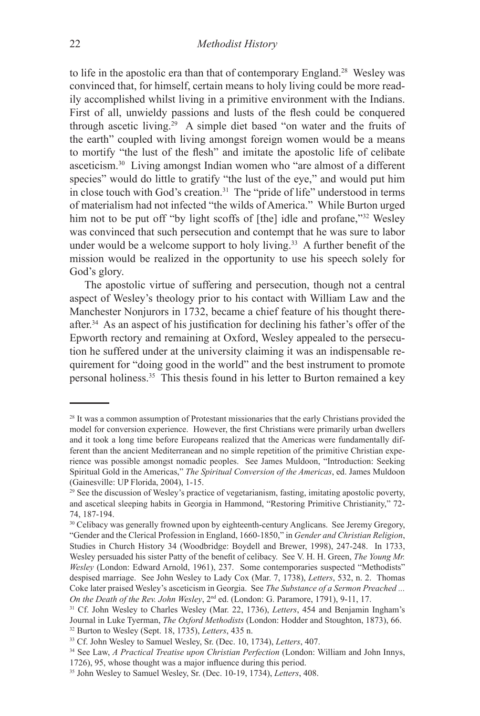to life in the apostolic era than that of contemporary England.28 Wesley was convinced that, for himself, certain means to holy living could be more readily accomplished whilst living in a primitive environment with the Indians. First of all, unwieldy passions and lusts of the flesh could be conquered through ascetic living.29 A simple diet based "on water and the fruits of the earth" coupled with living amongst foreign women would be a means to mortify "the lust of the flesh" and imitate the apostolic life of celibate asceticism.30 Living amongst Indian women who "are almost of a different species" would do little to gratify "the lust of the eye," and would put him in close touch with God's creation.31 The "pride of life" understood in terms of materialism had not infected "the wilds of America." While Burton urged him not to be put off "by light scoffs of [the] idle and profane,"<sup>32</sup> Wesley was convinced that such persecution and contempt that he was sure to labor under would be a welcome support to holy living.<sup>33</sup> A further benefit of the mission would be realized in the opportunity to use his speech solely for God's glory.

The apostolic virtue of suffering and persecution, though not a central aspect of Wesley's theology prior to his contact with William Law and the Manchester Nonjurors in 1732, became a chief feature of his thought thereafter.34 As an aspect of his justification for declining his father's offer of the Epworth rectory and remaining at Oxford, Wesley appealed to the persecution he suffered under at the university claiming it was an indispensable requirement for "doing good in the world" and the best instrument to promote personal holiness.35 This thesis found in his letter to Burton remained a key

<sup>&</sup>lt;sup>28</sup> It was a common assumption of Protestant missionaries that the early Christians provided the model for conversion experience. However, the first Christians were primarily urban dwellers and it took a long time before Europeans realized that the Americas were fundamentally different than the ancient Mediterranean and no simple repetition of the primitive Christian experience was possible amongst nomadic peoples. See James Muldoon, "Introduction: Seeking Spiritual Gold in the Americas," *The Spiritual Conversion of the Americas*, ed. James Muldoon (Gainesville: UP Florida, 2004), 1-15.

 $29$  See the discussion of Wesley's practice of vegetarianism, fasting, imitating apostolic poverty, and ascetical sleeping habits in Georgia in Hammond, "Restoring Primitive Christianity," 72- 74, 187-194.

<sup>&</sup>lt;sup>30</sup> Celibacy was generally frowned upon by eighteenth-century Anglicans. See Jeremy Gregory, "Gender and the Clerical Profession in England, 1660-1850," in *Gender and Christian Religion*, Studies in Church History 34 (Woodbridge: Boydell and Brewer, 1998), 247-248. In 1733, Wesley persuaded his sister Patty of the benefit of celibacy. See V. H. H. Green, *The Young Mr. Wesley* (London: Edward Arnold, 1961), 237. Some contemporaries suspected "Methodists" despised marriage. See John Wesley to Lady Cox (Mar. 7, 1738), *Letters*, 532, n. 2. Thomas Coke later praised Wesley's asceticism in Georgia. See *The Substance of a Sermon Preached ... On the Death of the Rev. John Wesley*, 2nd ed. (London: G. Paramore, 1791), 9-11, 17.

<sup>31</sup> Cf. John Wesley to Charles Wesley (Mar. 22, 1736), *Letters*, 454 and Benjamin Ingham's Journal in Luke Tyerman, *The Oxford Methodists* (London: Hodder and Stoughton, 1873), 66. 32 Burton to Wesley (Sept. 18, 1735), *Letters*, 435 n.

<sup>33</sup> Cf. John Wesley to Samuel Wesley, Sr. (Dec. 10, 1734), *Letters*, 407.

<sup>34</sup> See Law, *A Practical Treatise upon Christian Perfection* (London: William and John Innys, 1726), 95, whose thought was a major influence during this period.

<sup>35</sup> John Wesley to Samuel Wesley, Sr. (Dec. 10-19, 1734), *Letters*, 408.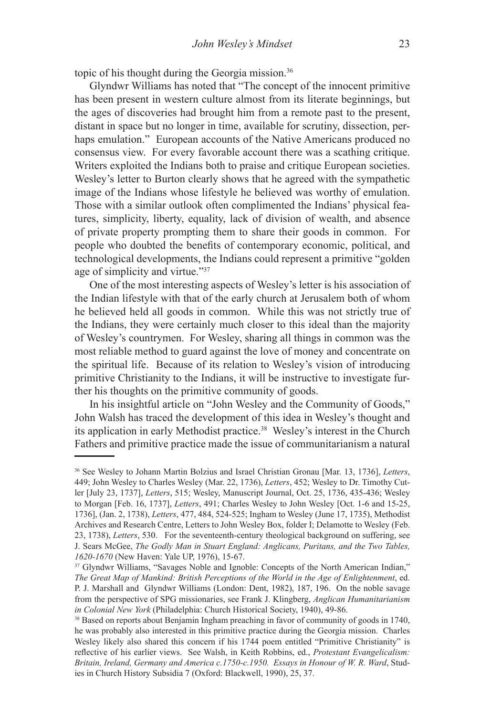topic of his thought during the Georgia mission.36

Glyndwr Williams has noted that "The concept of the innocent primitive has been present in western culture almost from its literate beginnings, but the ages of discoveries had brought him from a remote past to the present, distant in space but no longer in time, available for scrutiny, dissection, perhaps emulation." European accounts of the Native Americans produced no consensus view. For every favorable account there was a scathing critique. Writers exploited the Indians both to praise and critique European societies. Wesley's letter to Burton clearly shows that he agreed with the sympathetic image of the Indians whose lifestyle he believed was worthy of emulation. Those with a similar outlook often complimented the Indians' physical features, simplicity, liberty, equality, lack of division of wealth, and absence of private property prompting them to share their goods in common. For people who doubted the benefits of contemporary economic, political, and technological developments, the Indians could represent a primitive "golden age of simplicity and virtue."37

One of the most interesting aspects of Wesley's letter is his association of the Indian lifestyle with that of the early church at Jerusalem both of whom he believed held all goods in common. While this was not strictly true of the Indians, they were certainly much closer to this ideal than the majority of Wesley's countrymen. For Wesley, sharing all things in common was the most reliable method to guard against the love of money and concentrate on the spiritual life. Because of its relation to Wesley's vision of introducing primitive Christianity to the Indians, it will be instructive to investigate further his thoughts on the primitive community of goods.

In his insightful article on "John Wesley and the Community of Goods," John Walsh has traced the development of this idea in Wesley's thought and its application in early Methodist practice.38 Wesley's interest in the Church Fathers and primitive practice made the issue of communitarianism a natural

<sup>36</sup> See Wesley to Johann Martin Bolzius and Israel Christian Gronau [Mar. 13, 1736], *Letters*, 449; John Wesley to Charles Wesley (Mar. 22, 1736), *Letters*, 452; Wesley to Dr. Timothy Cutler [July 23, 1737], *Letters*, 515; Wesley, Manuscript Journal, Oct. 25, 1736, 435-436; Wesley to Morgan [Feb. 16, 1737], *Letters*, 491; Charles Wesley to John Wesley [Oct. 1-6 and 15-25, 1736], (Jan. 2, 1738), *Letters*, 477, 484, 524-525; Ingham to Wesley (June 17, 1735), Methodist Archives and Research Centre, Letters to John Wesley Box, folder I; Delamotte to Wesley (Feb. 23, 1738), *Letters*, 530. For the seventeenth-century theological background on suffering, see J. Sears McGee, *The Godly Man in Stuart England: Anglicans, Puritans, and the Two Tables, 1620-1670* (New Haven: Yale UP, 1976), 15-67.<br><sup>37</sup> Glyndwr Williams, "Savages Noble and Ignoble: Concepts of the North American Indian,"

*The Great Map of Mankind: British Perceptions of the World in the Age of Enlightenment*, ed. P. J. Marshall and Glyndwr Williams (London: Dent, 1982), 187, 196. On the noble savage from the perspective of SPG missionaries, see Frank J. Klingberg, *Anglican Humanitarianism in Colonial New York* (Philadelphia: Church Historical Society, 1940), 49-86.

<sup>38</sup> Based on reports about Benjamin Ingham preaching in favor of community of goods in 1740, he was probably also interested in this primitive practice during the Georgia mission. Charles Wesley likely also shared this concern if his 1744 poem entitled "Primitive Christianity" is reflective of his earlier views. See Walsh, in Keith Robbins, ed., *Protestant Evangelicalism: Britain, Ireland, Germany and America c.1750-c.1950. Essays in Honour of W. R. Ward*, Studies in Church History Subsidia 7 (Oxford: Blackwell, 1990), 25, 37.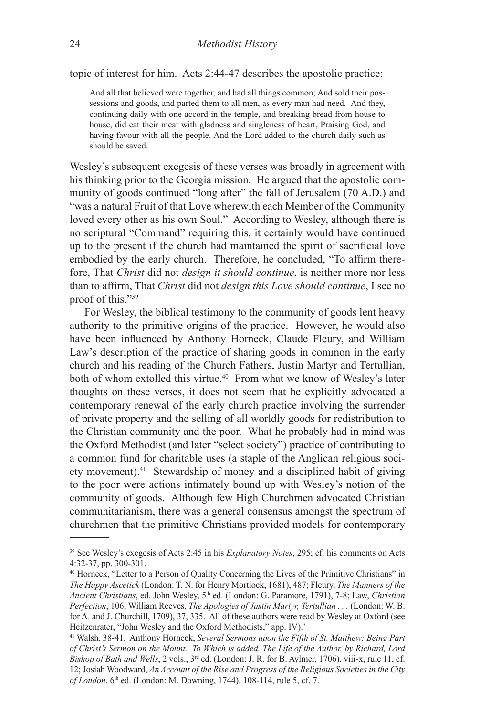topic of interest for him. Acts 2:44-47 describes the apostolic practice:

And all that believed were together, and had all things common; And sold their possessions and goods, and parted them to all men, as every man had need. And they, continuing daily with one accord in the temple, and breaking bread from house to house, did eat their meat with gladness and singleness of heart, Praising God, and having favour with all the people. And the Lord added to the church daily such as should be saved.

Wesley's subsequent exegesis of these verses was broadly in agreement with his thinking prior to the Georgia mission. He argued that the apostolic community of goods continued "long after" the fall of Jerusalem (70 A.D.) and "was a natural Fruit of that Love wherewith each Member of the Community loved every other as his own Soul." According to Wesley, although there is no scriptural "Command" requiring this, it certainly would have continued up to the present if the church had maintained the spirit of sacrificial love embodied by the early church. Therefore, he concluded, "To affirm therefore, That *Christ* did not *design it should continue*, is neither more nor less than to affirm, That *Christ* did not *design this Love should continue*, I see no proof of this."39

For Wesley, the biblical testimony to the community of goods lent heavy authority to the primitive origins of the practice. However, he would also have been influenced by Anthony Horneck, Claude Fleury, and William Law's description of the practice of sharing goods in common in the early church and his reading of the Church Fathers, Justin Martyr and Tertullian, both of whom extolled this virtue.<sup>40</sup> From what we know of Wesley's later thoughts on these verses, it does not seem that he explicitly advocated a contemporary renewal of the early church practice involving the surrender of private property and the selling of all worldly goods for redistribution to the Christian community and the poor. What he probably had in mind was the Oxford Methodist (and later "select society") practice of contributing to a common fund for charitable uses (a staple of the Anglican religious society movement).41 Stewardship of money and a disciplined habit of giving to the poor were actions intimately bound up with Wesley's notion of the community of goods. Although few High Churchmen advocated Christian communitarianism, there was a general consensus amongst the spectrum of churchmen that the primitive Christians provided models for contemporary

<sup>39</sup> See Wesley's exegesis of Acts 2:45 in his *Explanatory Notes*, 295; cf. his comments on Acts 4:32-37, pp. 300-301.

<sup>40</sup> Horneck, "Letter to a Person of Quality Concerning the Lives of the Primitive Christians" in *The Happy Ascetick* (London: T. N. for Henry Mortlock, 1681), 487; Fleury, *The Manners of the Ancient Christians*, ed. John Wesley, 5th ed. (London: G. Paramore, 1791), 7-8; Law, *Christian Perfection*, 106; William Reeves, *The Apologies of Justin Martyr, Tertullian . . .* (London: W. B. for A. and J. Churchill, 1709), 37, 335. All of these authors were read by Wesley at Oxford (see Heitzenrater, "John Wesley and the Oxford Methodists," app. IV).'

<sup>41</sup> Walsh, 38-41. Anthony Horneck, *Several Sermons upon the Fifth of St. Matthew: Being Part of Christ's Sermon on the Mount. To Which is added, The Life of the Author, by Richard, Lord Bishop of Bath and Wells*, 2 vols., 3rd ed. (London: J. R. for B. Aylmer, 1706), viii-x, rule 11, cf. 12; Josiah Woodward, *An Account of the Rise and Progress of the Religious Societies in the City of London*, 6<sup>th</sup> ed. (London: M. Downing, 1744), 108-114, rule 5, cf. 7.